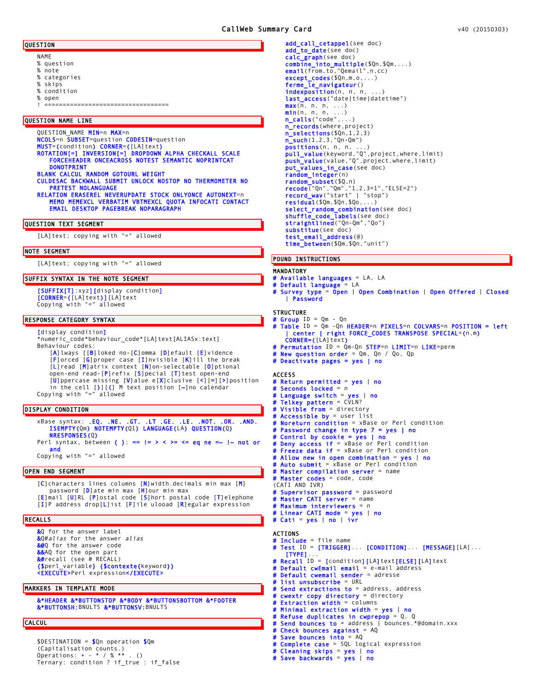- NAME
- % question
- % note % categories
- % skips
- % condition
- % open
- ! ==================================

## QUESTION NAME LINE

QUESTION\_NAME MIN=n MAX=n NCOLS=n SUBSET=question CODESIN=question MUST=(condition) CORNER=([LA]text) ROTATION[=] INVERSION[=] DROPDOWN ALPHA CHECKALL SCALE FORCEHEADER ONCEACROSS NOTEST SEMANTIC NOPRINTCAT DONOTPRINT BLANK CALCUL RANDOM GOTOURL WEIGHT CULDESAC BACKWALL SUBMIT UNLOCK NOSTOP NO THERMOMETER NO PRETEST NOLANGUAGE

RELATION ERASEREL NEVERUPDATE STOCK ONLYONCE AUTONEXT=n MEMO MEMEXCL VERBATIM VBTMEXCL QUOTA INFOCATI CONTACT EMAIL DESKTOP PAGEBREAK NOPARAGRAPH

## QUESTION TEXT SEGMENT

[LA]text; copying with "=" allowed

#### NOTE SEGMENT

[LA]text; copying with "=" allowed

## SUFFIX SYNTAX IN THE NOTE SEGMENT

[SUFFIX[T]:xyz][display condition] [CORNER=([LA]text)][LA]text Copying with "=" allowed

## RESPONSE CATEGORY SYNTAX

[display condition] \*numeric\_code\*behaviour\_code\*[LA]text[ALIASx:text] Behaviour codes: [A]lways [[B]loked no-[C]omma [D]efault [E]vidence [F]orced [G]proper case [I]nvisible [K]ill the break [L]read [M]atrix context [N]on-selectable [O]ptional open-end read-[P]refix [S]pecial [T]test open-end [U]ppercase missing [V]alue e[X]clusive [<][=][>]position in the cell [)][(] M text position [~]no calendar Copying with "=" allowed

#### DISPLAY CONDITION

xBase syntax: .EQ. .NE. .GT. .LT .GE. .LE. .NOT. .OR. .AND. ISEMPTY(Qm) NOTEMPTY(Q1) LANGUAGE(LA) QUESTION(Q) NRESPONSES(Q) Perl syntax, between { }: ==  $!=$  > < >= <= eq ne =~  $!$  ~ not or and

Copying with "=" allowed

## OPEN END SEGMENT

[C]characters lines columns [N]width.decimals min max [M] password [D]ate min max [H]our min max [E]mail [U]RL [P]ostal code [S]hort postal code [T]elephone [I]P address drop[L]ist [F]ile ulooad [R]egular expression

## RECALLS

&Q for the answer label &Q#*alias* for the answer *alias* &@Q for the answer code &&AQ for the open part &#recall (see # RECALL) {\$perl\_variable} {\$contexte{keyword}} <EXECUTE>Perl expression</EXECUTE>

## MARKERS IN TEMPLATE MODE

&\*HEADER &\*BUTTONSTOP &\*BODY &\*BUTTONSBOTTOM &\*FOOTER &\*BUTTONSH: BNULTS &\*BUTTONSV: BNULTS

## **CALCUL**

\$DESTINATION = \$Qn operation \$Qm (Capitalisation counts.) Operations: + - \* / % \*\* . () Ternary: condition ? if\_true : if\_false

add\_call\_cetappel(see doc) add\_to\_date(see doc) calc\_graph(see doc) combine\_into\_multiple(\$Qn,\$Qm,...) email(from, to, "Qemail", n, cc) except\_codes(\$Qn,m,o,...) ferme\_le\_navigateur() indexposition(n, n, n, last\_access("date|time|datetime")  $max(n, n, n, ...)$ min(n, n, n, ...) n\_calls("code",...) n\_records(where, project) n\_selections(\$Qn,1,2,3) n\_such(1,2,3,"Qn-Qm") <mark>positions</mark>(n, n, n, ...)<br>**pull\_value**(keyword,"Q",project,where,limit) push\_value(value,"Q", project, where, limit) put\_values\_in\_case(see doc) random\_integer(n) r<mark>andom\_subset(\$</mark>Q,n)<br>recode("Qn","Qm","1,2,3=1","ELSE=2")<br>record\_wav("start" | "stop") residual(\$Qm,\$Qn,\$Qo,...) select\_random\_combination(see doc)<br>shuffle\_code\_labels(see doc) straightlined("Qn-Qm","Qo") substitue(see doc) test\_email\_address(@) time\_between(\$Qm,\$Qn,"unit")

# POUND INSTRUCTIONS

#### MANDATORY

- # Available languages = LA, LA
- # Default language = LA
- # Survey type = Open | Open Combination | Open Offered | Closed | Password

## **STRUCTURE**

- 
- # Group ID = Qm Qn # Table ID = Qm -Qn HEADER=n PIXELS=n COLVARS=n POSITION = left | center | right FORCE\_CODES TRANSPOSE SPECIAL=(n,m) CORNER=([LA]text)
- # Permutation ID = Qm-Qn STEP=n LIMIT=n LIKE=perm
- **New question order** =  $Qm$ ,  $Qn$  /  $Qo$ ,  $Qp$
- Deactivate pages = yes  $|$  no

## **ACCESS**

# Return permitted = yes | no  $3e$  conds  $1o$ cked = n Language switch = yes  $|$  no # Telkey pattern = CVLN? # Visible from = directory # Accessible by = user list # Noreturn condition = xBase or Perl condition # Password change in type 7 = yes | no # Control by cookie = yes | no # Deny access if = xBase or Perl condition # Freeze data if = xBase or Perl condition Allow new in open combination = yes  $|$  no # Auto submit = xBase or Perl condition Master compilation server = name **Master codes** =  $code$ ,  $code$ (CATI AND IVR) # Supervisor password = password # Master CATI server = name # Maximum interviewers = n # Linear CATI mode = yes | no # Cati = yes | no | ivr ACTIONS # Include = file name # Test ID = [TRIGGER]... [CONDITION]... [MESSAGE][LA]... [TYPE]... **Recall ID = [condition][LA]text[ELSE][LA]text Default cwEmail email** = e-mail address # Default cwemail sender = adresse # list unsubscribe = URL # Send extractions to = address, address # cwextr copy directory = directory # Extraction width = columns # Minimal extraction width = yes | no # Refuse duplicates in cwprepop = Q, Q # Send bounces to = address | bounces.\*@domain.xxx

Check bounces against  $= AQ$ Save bounces into  $=$  AQ

```
# Complete case = SQL logical expression
# Cleaning skips = yes | no
```

```
# Save backwards = yes | no
```